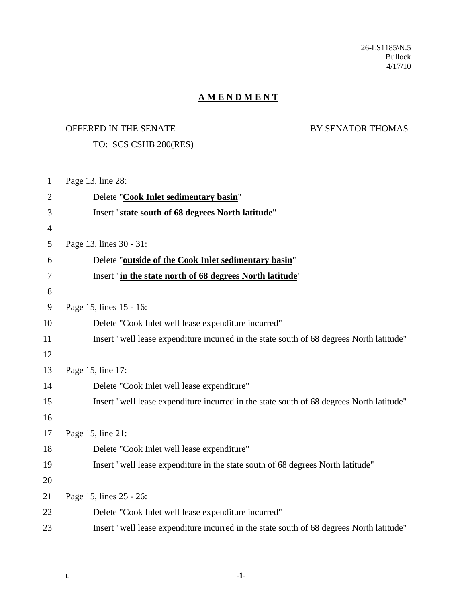26-LS1185\N.5 Bullock 4/17/10

## **A M E N D M E N T**

## OFFERED IN THE SENATE BY SENATOR THOMAS

## TO: SCS CSHB 280(RES)

| $\mathbf{1}$   | Page 13, line 28:                                                                        |
|----------------|------------------------------------------------------------------------------------------|
| $\overline{2}$ | Delete "Cook Inlet sedimentary basin"                                                    |
| 3              | Insert "state south of 68 degrees North latitude"                                        |
| $\overline{4}$ |                                                                                          |
| 5              | Page 13, lines 30 - 31:                                                                  |
| 6              | Delete "outside of the Cook Inlet sedimentary basin"                                     |
| 7              | Insert "in the state north of 68 degrees North latitude"                                 |
| 8              |                                                                                          |
| 9              | Page 15, lines 15 - 16:                                                                  |
| 10             | Delete "Cook Inlet well lease expenditure incurred"                                      |
| 11             | Insert "well lease expenditure incurred in the state south of 68 degrees North latitude" |
| 12             |                                                                                          |
| 13             | Page 15, line 17:                                                                        |
| 14             | Delete "Cook Inlet well lease expenditure"                                               |
| 15             | Insert "well lease expenditure incurred in the state south of 68 degrees North latitude" |
| 16             |                                                                                          |
| 17             | Page 15, line 21:                                                                        |
| 18             | Delete "Cook Inlet well lease expenditure"                                               |
| 19             | Insert "well lease expenditure in the state south of 68 degrees North latitude"          |
| 20             |                                                                                          |
| 21             | Page 15, lines 25 - 26:                                                                  |
| 22             | Delete "Cook Inlet well lease expenditure incurred"                                      |
| 23             | Insert "well lease expenditure incurred in the state south of 68 degrees North latitude" |